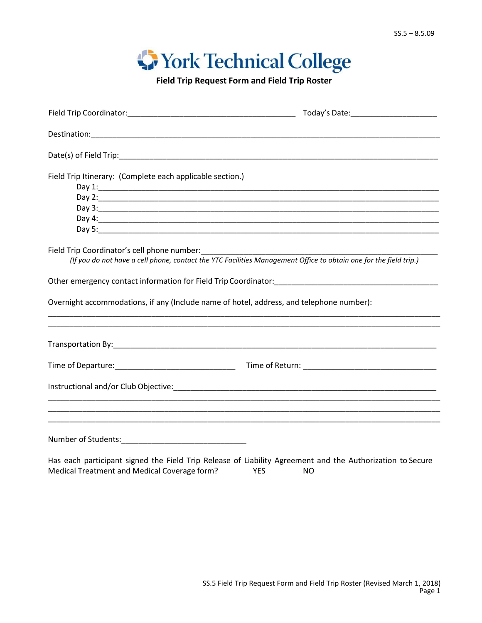## **Work Technical College**

**Field Trip Request Form and Field Trip Roster**

|                                                                                                                                           | Today's Date:_________________________                                                                                                                                                                                              |  |  |  |
|-------------------------------------------------------------------------------------------------------------------------------------------|-------------------------------------------------------------------------------------------------------------------------------------------------------------------------------------------------------------------------------------|--|--|--|
|                                                                                                                                           |                                                                                                                                                                                                                                     |  |  |  |
|                                                                                                                                           |                                                                                                                                                                                                                                     |  |  |  |
| Field Trip Itinerary: (Complete each applicable section.)                                                                                 | Day 3: <u>Alexander Advisory Control Communications</u> and the Control Control Control Control Control Control Control Control Control Control Control Control Control Control Control Control Control Control Control Control Con |  |  |  |
|                                                                                                                                           | (If you do not have a cell phone, contact the YTC Facilities Management Office to obtain one for the field trip.)                                                                                                                   |  |  |  |
|                                                                                                                                           |                                                                                                                                                                                                                                     |  |  |  |
| Overnight accommodations, if any (Include name of hotel, address, and telephone number):                                                  |                                                                                                                                                                                                                                     |  |  |  |
|                                                                                                                                           | <u> 1980 - Johann John Stone, markin amerikan berkenal (h. 1980).</u>                                                                                                                                                               |  |  |  |
|                                                                                                                                           |                                                                                                                                                                                                                                     |  |  |  |
|                                                                                                                                           |                                                                                                                                                                                                                                     |  |  |  |
|                                                                                                                                           |                                                                                                                                                                                                                                     |  |  |  |
| The considered proportion of the set of the set of the set of the set of the set of the set of the set of the set of $\sigma$ of $\sigma$ |                                                                                                                                                                                                                                     |  |  |  |

Has each participant signed the Field Trip Release of Liability Agreement and the Authorization to Secure Medical Treatment and Medical Coverage form? YES NO